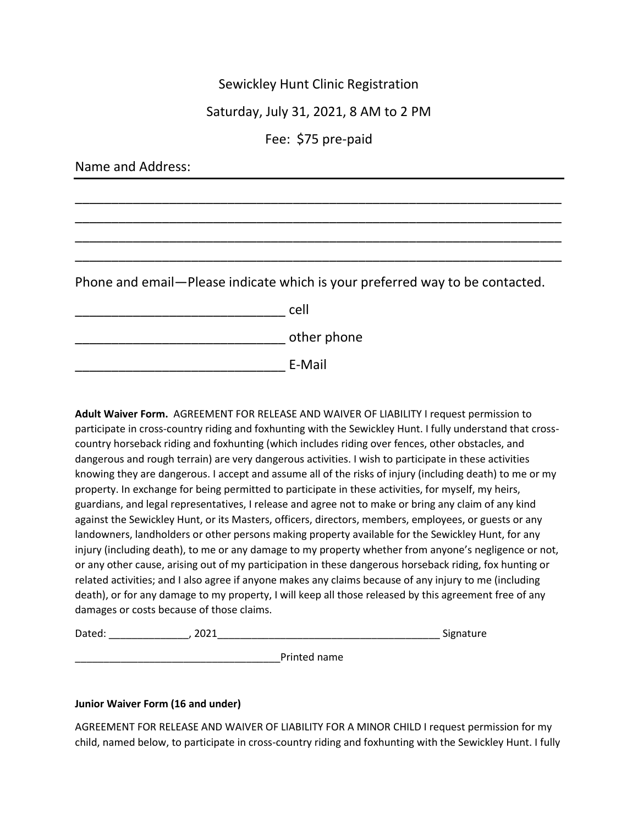## Sewickley Hunt Clinic Registration

## Saturday, July 31, 2021, 8 AM to 2 PM

## Fee: \$75 pre-paid

| Name and Address:                                                            |             |  |
|------------------------------------------------------------------------------|-------------|--|
|                                                                              |             |  |
|                                                                              |             |  |
|                                                                              |             |  |
|                                                                              |             |  |
| Phone and email-Please indicate which is your preferred way to be contacted. |             |  |
|                                                                              | cell        |  |
|                                                                              | other phone |  |
|                                                                              | E-Mail      |  |

**Adult Waiver Form.** AGREEMENT FOR RELEASE AND WAIVER OF LIABILITY I request permission to participate in cross-country riding and foxhunting with the Sewickley Hunt. I fully understand that crosscountry horseback riding and foxhunting (which includes riding over fences, other obstacles, and dangerous and rough terrain) are very dangerous activities. I wish to participate in these activities knowing they are dangerous. I accept and assume all of the risks of injury (including death) to me or my property. In exchange for being permitted to participate in these activities, for myself, my heirs, guardians, and legal representatives, I release and agree not to make or bring any claim of any kind against the Sewickley Hunt, or its Masters, officers, directors, members, employees, or guests or any landowners, landholders or other persons making property available for the Sewickley Hunt, for any injury (including death), to me or any damage to my property whether from anyone's negligence or not, or any other cause, arising out of my participation in these dangerous horseback riding, fox hunting or related activities; and I also agree if anyone makes any claims because of any injury to me (including death), or for any damage to my property, I will keep all those released by this agreement free of any damages or costs because of those claims.

| $D - L - A$<br>oateo. | . . | $\sim$ $\sim$ $\sim$<br>-----<br>$\cdots$<br>sipha<br>٠o |
|-----------------------|-----|----------------------------------------------------------|
|                       |     |                                                          |

Printed name

## **Junior Waiver Form (16 and under)**

AGREEMENT FOR RELEASE AND WAIVER OF LIABILITY FOR A MINOR CHILD I request permission for my child, named below, to participate in cross-country riding and foxhunting with the Sewickley Hunt. I fully